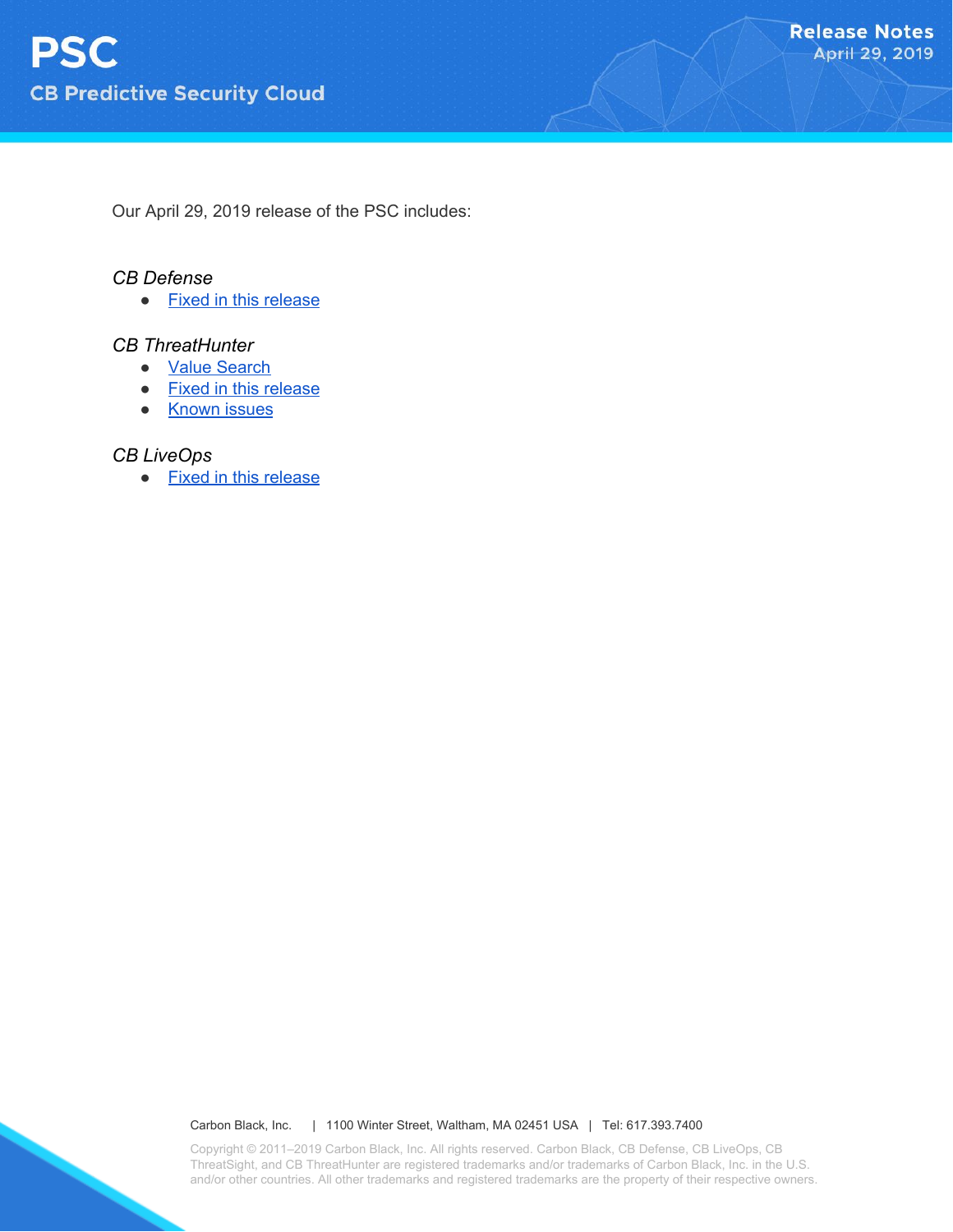Our April 29, 2019 release of the PSC includes:

#### *CB Defense*

• Fixed in this [release](#page-1-0)

#### *CB ThreatHunter*

- Value [Search](#page-1-1)
- Fixed in this [release](#page-2-0)
- [Known](#page-3-0) issues

#### *CB LiveOps*

• Fixed in this [release](#page-5-0)

Carbon Black, Inc. | 1100 Winter Street, Waltham, MA 02451 USA | Tel: 617.393.7400

Copyright © 2011–2019 Carbon Black, Inc. All rights reserved. Carbon Black, CB Defense, CB LiveOps, CB ThreatSight, and CB ThreatHunter are registered trademarks and/or trademarks of Carbon Black, Inc. in the U.S. and/or other countries. All other trademarks and registered trademarks are the property of their respective owners.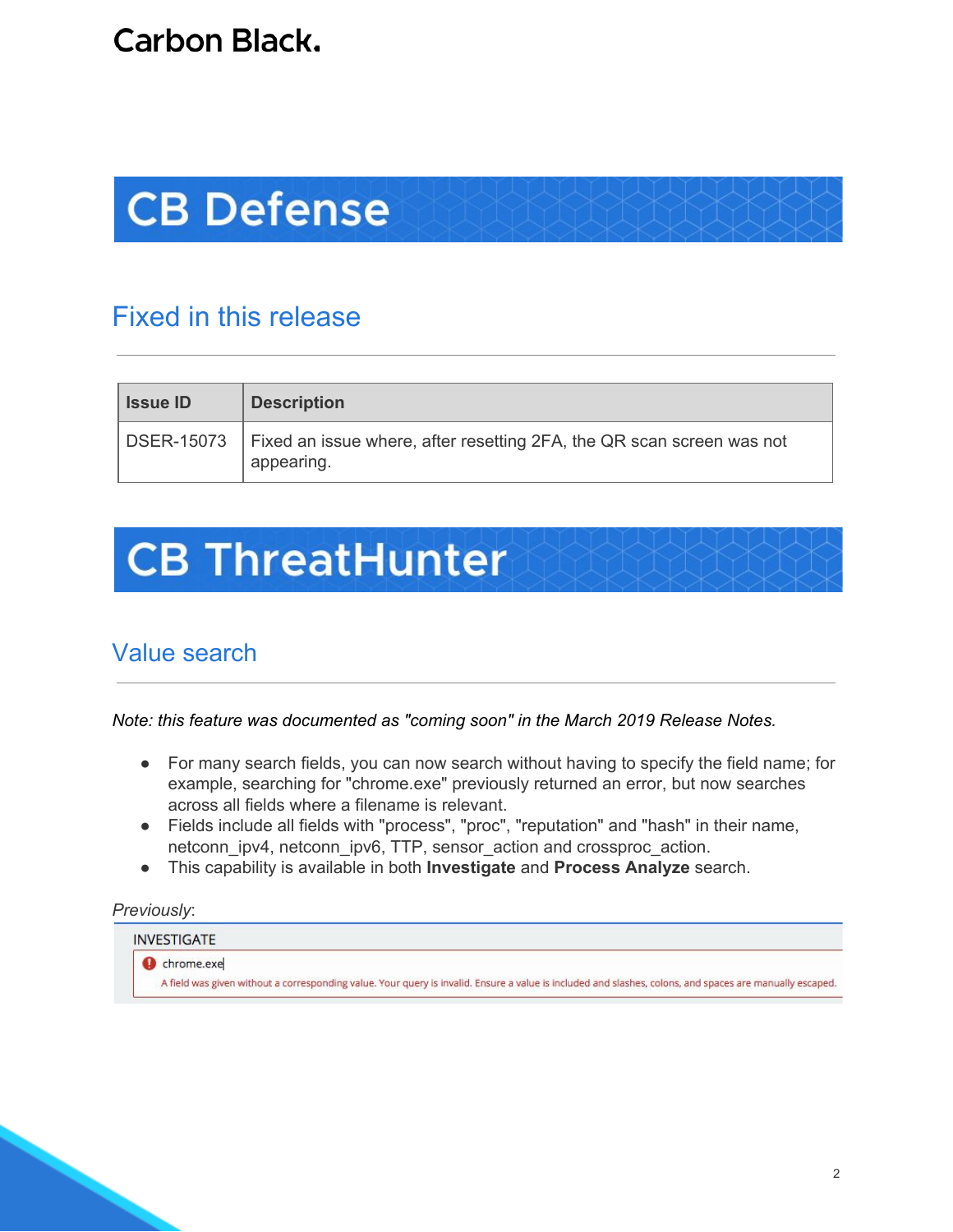## **Carbon Black.**

# **CB Defense**

### <span id="page-1-0"></span>Fixed in this release

| <b>Issue ID</b> | <b>Description</b>                                                                             |
|-----------------|------------------------------------------------------------------------------------------------|
|                 | DSER-15073 Fixed an issue where, after resetting 2FA, the QR scan screen was not<br>appearing. |

# **CB ThreatHunter**

### <span id="page-1-1"></span>Value search

*Note: this feature was documented as "coming soon" in the March 2019 Release Notes.*

- For many search fields, you can now search without having to specify the field name; for example, searching for "chrome.exe" previously returned an error, but now searches across all fields where a filename is relevant.
- Fields include all fields with "process", "proc", "reputation" and "hash" in their name, netconn\_ipv4, netconn\_ipv6, TTP, sensor\_action and crossproc\_action.
- This capability is available in both **Investigate** and **Process Analyze** search.

#### *Previously*:

#### **INVESTIGATE**

**O** chrome.exe

A field was given without a corresponding value. Your query is invalid. Ensure a value is included and slashes, colons, and spaces are manually escaped.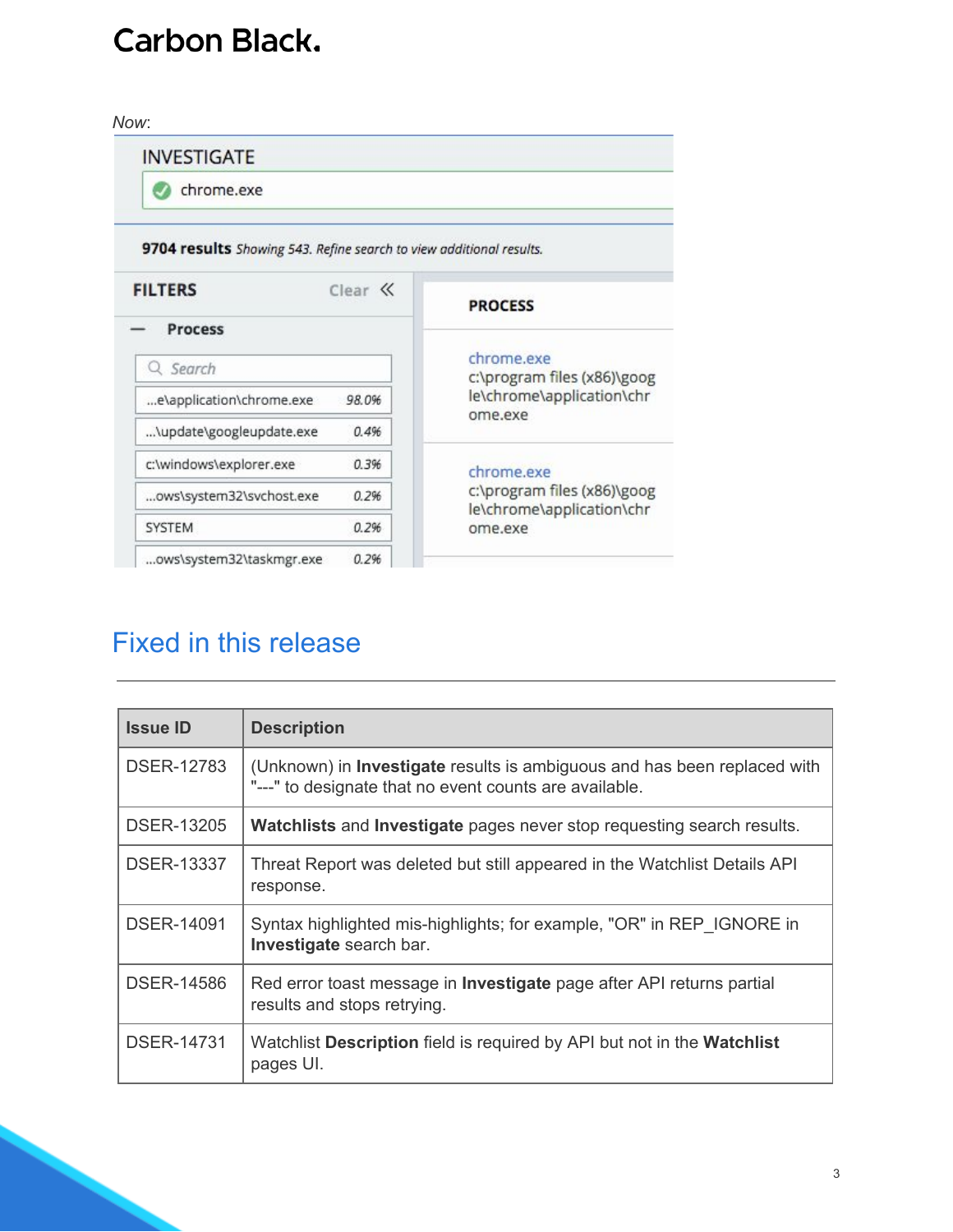# **Carbon Black.**

| Now:                                                                |             |                                           |
|---------------------------------------------------------------------|-------------|-------------------------------------------|
| <b>INVESTIGATE</b>                                                  |             |                                           |
| chrome.exe                                                          |             |                                           |
| 9704 results Showing 543. Refine search to view additional results. |             |                                           |
| <b>FILTERS</b>                                                      | $Clear \ll$ | <b>PROCESS</b>                            |
| <b>Process</b>                                                      |             |                                           |
| Q Search                                                            |             | chrome.exe<br>c:\program files (x86)\goog |
| e\application\chrome.exe                                            | 98.0%       | le\chrome\application\chr<br>ome.exe      |
| \update\googleupdate.exe                                            | 0.4%        |                                           |
| c:\windows\explorer.exe                                             | 0.3%        | chrome.exe                                |
| ows\system32\svchost.exe                                            | 0.2%        | c:\program files (x86)\goog               |
| <b>SYSTEM</b>                                                       | 0.296       | le\chrome\application\chr<br>ome.exe      |
| ows\system32\taskmgr.exe                                            | 0.2%        |                                           |

## <span id="page-2-0"></span>Fixed in this release

| <b>Issue ID</b>   | <b>Description</b>                                                                                                                 |
|-------------------|------------------------------------------------------------------------------------------------------------------------------------|
| <b>DSER-12783</b> | (Unknown) in Investigate results is ambiguous and has been replaced with<br>"---" to designate that no event counts are available. |
| <b>DSER-13205</b> | Watchlists and Investigate pages never stop requesting search results.                                                             |
| <b>DSER-13337</b> | Threat Report was deleted but still appeared in the Watchlist Details API<br>response.                                             |
| <b>DSER-14091</b> | Syntax highlighted mis-highlights; for example, "OR" in REP IGNORE in<br>Investigate search bar.                                   |
| <b>DSER-14586</b> | Red error toast message in <b>Investigate</b> page after API returns partial<br>results and stops retrying.                        |
| <b>DSER-14731</b> | Watchlist Description field is required by API but not in the Watchlist<br>pages UI.                                               |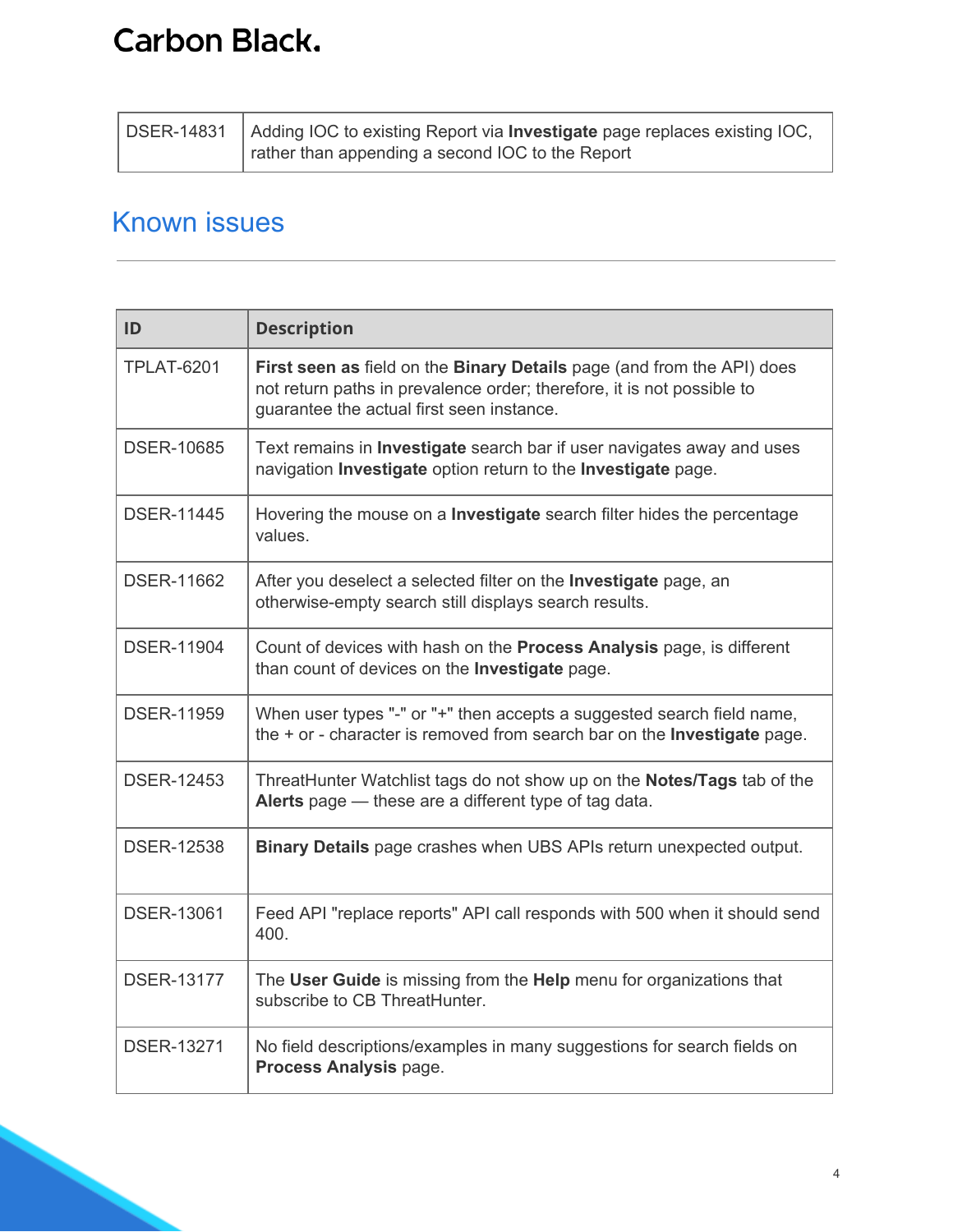| DSER-14831   Adding IOC to existing Report via <b>Investigate</b> page replaces existing IOC, |
|-----------------------------------------------------------------------------------------------|
| rather than appending a second IOC to the Report                                              |

### <span id="page-3-0"></span>Known issues

| ID                | <b>Description</b>                                                                                                                                                                            |
|-------------------|-----------------------------------------------------------------------------------------------------------------------------------------------------------------------------------------------|
| <b>TPLAT-6201</b> | First seen as field on the Binary Details page (and from the API) does<br>not return paths in prevalence order; therefore, it is not possible to<br>guarantee the actual first seen instance. |
| DSER-10685        | Text remains in <b>Investigate</b> search bar if user navigates away and uses<br>navigation Investigate option return to the Investigate page.                                                |
| <b>DSER-11445</b> | Hovering the mouse on a <b>Investigate</b> search filter hides the percentage<br>values.                                                                                                      |
| <b>DSER-11662</b> | After you deselect a selected filter on the Investigate page, an<br>otherwise-empty search still displays search results.                                                                     |
| <b>DSER-11904</b> | Count of devices with hash on the Process Analysis page, is different<br>than count of devices on the Investigate page.                                                                       |
| <b>DSER-11959</b> | When user types "-" or "+" then accepts a suggested search field name,<br>the $+$ or $-$ character is removed from search bar on the <b>Investigate</b> page.                                 |
| <b>DSER-12453</b> | ThreatHunter Watchlist tags do not show up on the Notes/Tags tab of the<br>Alerts page - these are a different type of tag data.                                                              |
| <b>DSER-12538</b> | Binary Details page crashes when UBS APIs return unexpected output.                                                                                                                           |
| <b>DSER-13061</b> | Feed API "replace reports" API call responds with 500 when it should send<br>400.                                                                                                             |
| <b>DSER-13177</b> | The User Guide is missing from the Help menu for organizations that<br>subscribe to CB ThreatHunter.                                                                                          |
| <b>DSER-13271</b> | No field descriptions/examples in many suggestions for search fields on<br>Process Analysis page.                                                                                             |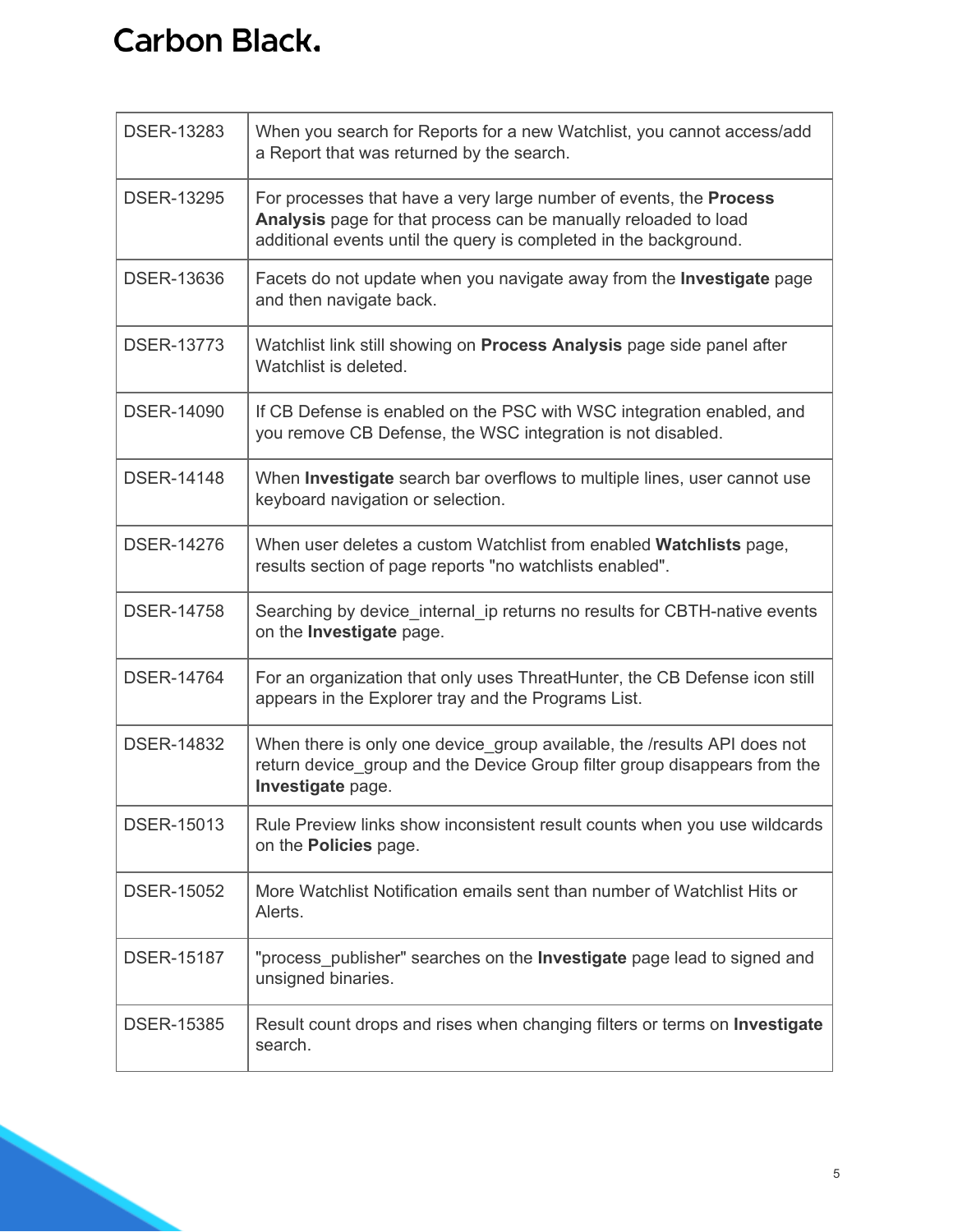| <b>DSER-13283</b> | When you search for Reports for a new Watchlist, you cannot access/add<br>a Report that was returned by the search.                                                                                               |
|-------------------|-------------------------------------------------------------------------------------------------------------------------------------------------------------------------------------------------------------------|
| <b>DSER-13295</b> | For processes that have a very large number of events, the <b>Process</b><br>Analysis page for that process can be manually reloaded to load<br>additional events until the query is completed in the background. |
| <b>DSER-13636</b> | Facets do not update when you navigate away from the <b>Investigate</b> page<br>and then navigate back.                                                                                                           |
| <b>DSER-13773</b> | Watchlist link still showing on <b>Process Analysis</b> page side panel after<br>Watchlist is deleted.                                                                                                            |
| <b>DSER-14090</b> | If CB Defense is enabled on the PSC with WSC integration enabled, and<br>you remove CB Defense, the WSC integration is not disabled.                                                                              |
| <b>DSER-14148</b> | When <b>Investigate</b> search bar overflows to multiple lines, user cannot use<br>keyboard navigation or selection.                                                                                              |
| <b>DSER-14276</b> | When user deletes a custom Watchlist from enabled <b>Watchlists</b> page,<br>results section of page reports "no watchlists enabled".                                                                             |
| <b>DSER-14758</b> | Searching by device_internal_ip returns no results for CBTH-native events<br>on the Investigate page.                                                                                                             |
| <b>DSER-14764</b> | For an organization that only uses ThreatHunter, the CB Defense icon still<br>appears in the Explorer tray and the Programs List.                                                                                 |
| <b>DSER-14832</b> | When there is only one device_group available, the /results API does not<br>return device_group and the Device Group filter group disappears from the<br>Investigate page.                                        |
| <b>DSER-15013</b> | Rule Preview links show inconsistent result counts when you use wildcards<br>on the <b>Policies</b> page.                                                                                                         |
| <b>DSER-15052</b> | More Watchlist Notification emails sent than number of Watchlist Hits or<br>Alerts.                                                                                                                               |
| <b>DSER-15187</b> | "process_publisher" searches on the Investigate page lead to signed and<br>unsigned binaries.                                                                                                                     |
| <b>DSER-15385</b> | Result count drops and rises when changing filters or terms on Investigate<br>search.                                                                                                                             |